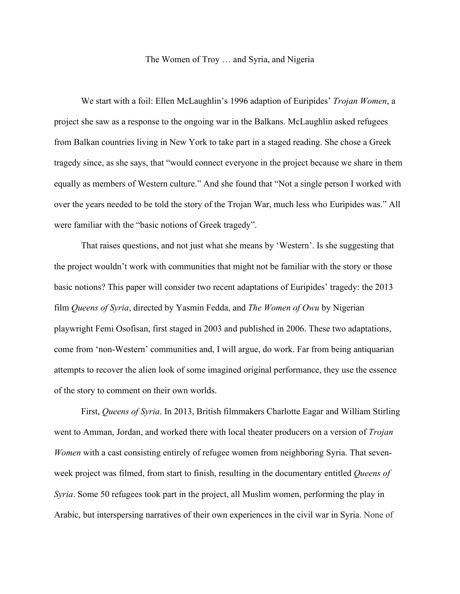## The Women of Troy … and Syria, and Nigeria

We start with a foil: Ellen McLaughlin's 1996 adaption of Euripides' *Trojan Women*, a project she saw as a response to the ongoing war in the Balkans. McLaughlin asked refugees from Balkan countries living in New York to take part in a staged reading. She chose a Greek tragedy since, as she says, that "would connect everyone in the project because we share in them equally as members of Western culture." And she found that "Not a single person I worked with over the years needed to be told the story of the Trojan War, much less who Euripides was." All were familiar with the "basic notions of Greek tragedy".

That raises questions, and not just what she means by 'Western'. Is she suggesting that the project wouldn't work with communities that might not be familiar with the story or those basic notions? This paper will consider two recent adaptations of Euripides' tragedy: the 2013 film *Queens of Syria*, directed by Yasmin Fedda, and *The Women of Owu* by Nigerian playwright Femi Osofisan, first staged in 2003 and published in 2006. These two adaptations, come from 'non-Western' communities and, I will argue, do work. Far from being antiquarian attempts to recover the alien look of some imagined original performance, they use the essence of the story to comment on their own worlds.

First, *Queens of Syria*. In 2013, British filmmakers Charlotte Eagar and William Stirling went to Amman, Jordan, and worked there with local theater producers on a version of *Trojan Women* with a cast consisting entirely of refugee women from neighboring Syria. That sevenweek project was filmed, from start to finish, resulting in the documentary entitled *Queens of Syria*. Some 50 refugees took part in the project, all Muslim women, performing the play in Arabic, but interspersing narratives of their own experiences in the civil war in Syria. None of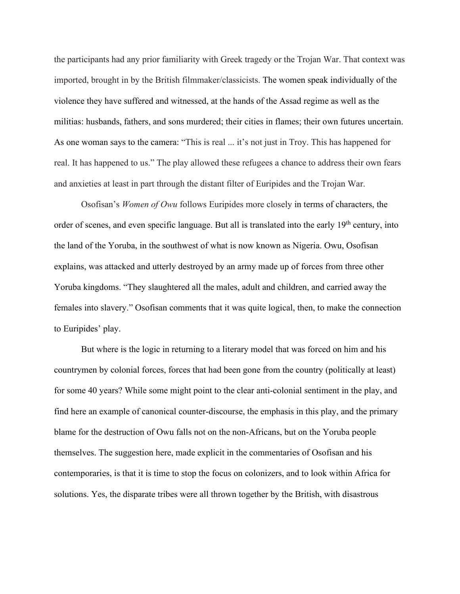the participants had any prior familiarity with Greek tragedy or the Trojan War. That context was imported, brought in by the British filmmaker/classicists. The women speak individually of the violence they have suffered and witnessed, at the hands of the Assad regime as well as the militias: husbands, fathers, and sons murdered; their cities in flames; their own futures uncertain. As one woman says to the camera: "This is real ... it's not just in Troy. This has happened for real. It has happened to us." The play allowed these refugees a chance to address their own fears and anxieties at least in part through the distant filter of Euripides and the Trojan War.

Osofisan's *Women of Owu* follows Euripides more closely in terms of characters, the order of scenes, and even specific language. But all is translated into the early 19<sup>th</sup> century, into the land of the Yoruba, in the southwest of what is now known as Nigeria. Owu, Osofisan explains, was attacked and utterly destroyed by an army made up of forces from three other Yoruba kingdoms. "They slaughtered all the males, adult and children, and carried away the females into slavery." Osofisan comments that it was quite logical, then, to make the connection to Euripides' play.

But where is the logic in returning to a literary model that was forced on him and his countrymen by colonial forces, forces that had been gone from the country (politically at least) for some 40 years? While some might point to the clear anti-colonial sentiment in the play, and find here an example of canonical counter-discourse, the emphasis in this play, and the primary blame for the destruction of Owu falls not on the non-Africans, but on the Yoruba people themselves. The suggestion here, made explicit in the commentaries of Osofisan and his contemporaries, is that it is time to stop the focus on colonizers, and to look within Africa for solutions. Yes, the disparate tribes were all thrown together by the British, with disastrous